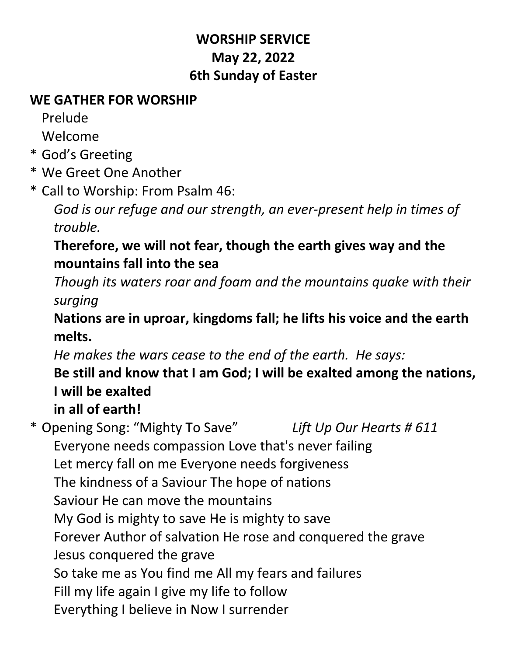### **WORSHIP SERVICE May 22, 2022 6th Sunday of Easter**

### **WE GATHER FOR WORSHIP**

Prelude

Welcome

- \* God's Greeting
- \* We Greet One Another

\* Call to Worship: From Psalm 46:

*God is our refuge and our strength, an ever-present help in times of trouble.*

### **Therefore, we will not fear, though the earth gives way and the mountains fall into the sea**

*Though its waters roar and foam and the mountains quake with their surging*

**Nations are in uproar, kingdoms fall; he lifts his voice and the earth melts.**

*He makes the wars cease to the end of the earth. He says:*

# **Be still and know that I am God; I will be exalted among the nations, I will be exalted**

# **in all of earth!**

\* Opening Song: "Mighty To Save" *Lift Up Our Hearts # 611* Everyone needs compassion Love that's never failing Let mercy fall on me Everyone needs forgiveness The kindness of a Saviour The hope of nations Saviour He can move the mountains My God is mighty to save He is mighty to save Forever Author of salvation He rose and conquered the grave Jesus conquered the grave So take me as You find me All my fears and failures Fill my life again I give my life to follow Everything I believe in Now I surrender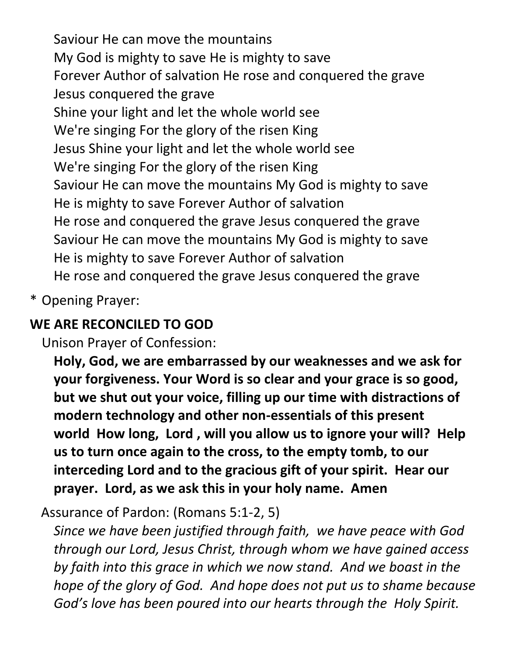Saviour He can move the mountains My God is mighty to save He is mighty to save Forever Author of salvation He rose and conquered the grave Jesus conquered the grave Shine your light and let the whole world see We're singing For the glory of the risen King Jesus Shine your light and let the whole world see We're singing For the glory of the risen King Saviour He can move the mountains My God is mighty to save He is mighty to save Forever Author of salvation He rose and conquered the grave Jesus conquered the grave Saviour He can move the mountains My God is mighty to save He is mighty to save Forever Author of salvation He rose and conquered the grave Jesus conquered the grave

\* Opening Prayer:

### **WE ARE RECONCILED TO GOD**

Unison Prayer of Confession:

**Holy, God, we are embarrassed by our weaknesses and we ask for your forgiveness. Your Word is so clear and your grace is so good, but we shut out your voice, filling up our time with distractions of modern technology and other non-essentials of this present world How long, Lord , will you allow us to ignore your will? Help us to turn once again to the cross, to the empty tomb, to our interceding Lord and to the gracious gift of your spirit. Hear our prayer. Lord, as we ask this in your holy name. Amen**

Assurance of Pardon: (Romans 5:1-2, 5)

*Since we have been justified through faith, we have peace with God through our Lord, Jesus Christ, through whom we have gained access by faith into this grace in which we now stand. And we boast in the hope of the glory of God. And hope does not put us to shame because God's love has been poured into our hearts through the Holy Spirit.*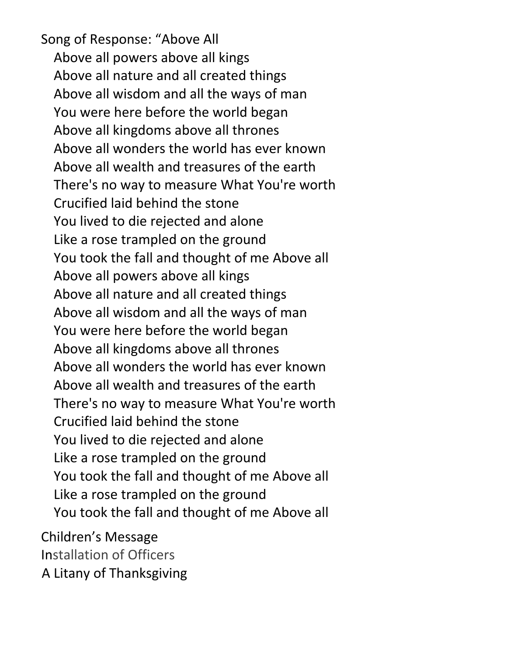Song of Response: "Above All Above all powers above all kings Above all nature and all created things Above all wisdom and all the ways of man You were here before the world began Above all kingdoms above all thrones Above all wonders the world has ever known Above all wealth and treasures of the earth There's no way to measure What You're worth Crucified laid behind the stone You lived to die rejected and alone Like a rose trampled on the ground You took the fall and thought of me Above all Above all powers above all kings Above all nature and all created things Above all wisdom and all the ways of man You were here before the world began Above all kingdoms above all thrones Above all wonders the world has ever known Above all wealth and treasures of the earth There's no way to measure What You're worth Crucified laid behind the stone You lived to die rejected and alone Like a rose trampled on the ground You took the fall and thought of me Above all Like a rose trampled on the ground You took the fall and thought of me Above all

Children's Message Installation of Officers A Litany of Thanksgiving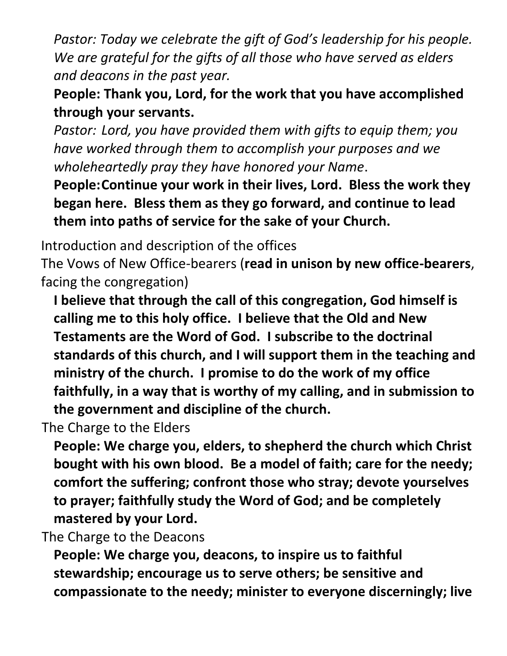*Pastor: Today we celebrate the gift of God's leadership for his people. We are grateful for the gifts of all those who have served as elders and deacons in the past year.*

**People: Thank you, Lord, for the work that you have accomplished through your servants.**

*Pastor: Lord, you have provided them with gifts to equip them; you have worked through them to accomplish your purposes and we wholeheartedly pray they have honored your Name*.

**People:Continue your work in their lives, Lord. Bless the work they began here. Bless them as they go forward, and continue to lead them into paths of service for the sake of your Church.**

Introduction and description of the offices

The Vows of New Office-bearers (**read in unison by new office-bearers**, facing the congregation)

**I believe that through the call of this congregation, God himself is calling me to this holy office. I believe that the Old and New Testaments are the Word of God. I subscribe to the doctrinal standards of this church, and I will support them in the teaching and ministry of the church. I promise to do the work of my office faithfully, in a way that is worthy of my calling, and in submission to the government and discipline of the church.**

The Charge to the Elders

**People: We charge you, elders, to shepherd the church which Christ bought with his own blood. Be a model of faith; care for the needy; comfort the suffering; confront those who stray; devote yourselves to prayer; faithfully study the Word of God; and be completely mastered by your Lord.**

The Charge to the Deacons

**People: We charge you, deacons, to inspire us to faithful stewardship; encourage us to serve others; be sensitive and compassionate to the needy; minister to everyone discerningly; live**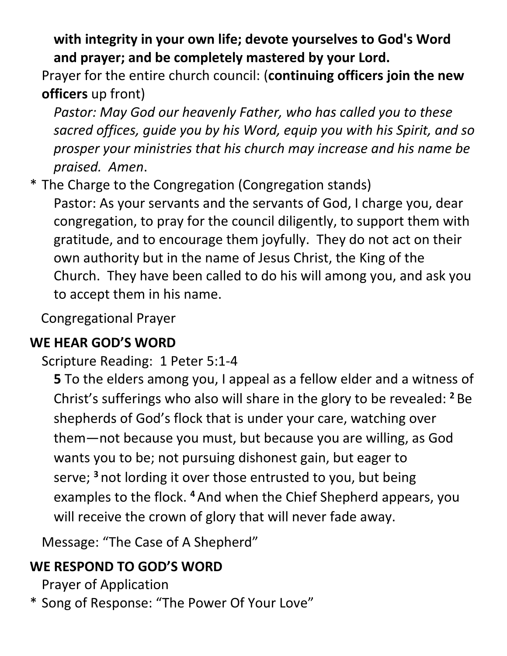**with integrity in your own life; devote yourselves to God's Word and prayer; and be completely mastered by your Lord.**

Prayer for the entire church council: (**continuing officers join the new officers** up front)

*Pastor: May God our heavenly Father, who has called you to these sacred offices, guide you by his Word, equip you with his Spirit, and so prosper your ministries that his church may increase and his name be praised. Amen*.

\* The Charge to the Congregation (Congregation stands)

Pastor: As your servants and the servants of God, I charge you, dear congregation, to pray for the council diligently, to support them with gratitude, and to encourage them joyfully. They do not act on their own authority but in the name of Jesus Christ, the King of the Church. They have been called to do his will among you, and ask you to accept them in his name.

Congregational Prayer

### **WE HEAR GOD'S WORD**

Scripture Reading: 1 Peter 5:1-4

**5** To the elders among you, I appeal as a fellow elder and a witness of Christ's sufferings who also will share in the glory to be revealed: **<sup>2</sup>** Be shepherds of God's flock that is under your care, watching over them—not because you must, but because you are willing, as God wants you to be; not pursuing dishonest gain, but eager to serve; **<sup>3</sup>** not lording it over those entrusted to you, but being examples to the flock. **<sup>4</sup>** And when the Chief Shepherd appears, you will receive the crown of glory that will never fade away.

Message: "The Case of A Shepherd"

## **WE RESPOND TO GOD'S WORD**

Prayer of Application

\* Song of Response: "The Power Of Your Love"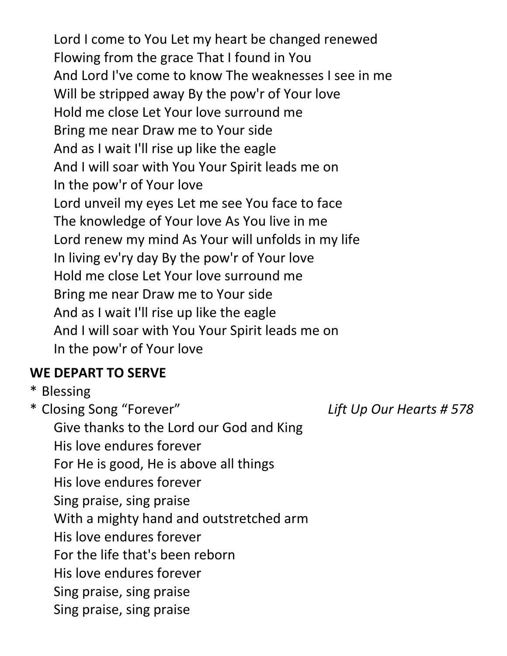Lord I come to You Let my heart be changed renewed Flowing from the grace That I found in You And Lord I've come to know The weaknesses I see in me Will be stripped away By the pow'r of Your love Hold me close Let Your love surround me Bring me near Draw me to Your side And as I wait I'll rise up like the eagle And I will soar with You Your Spirit leads me on In the pow'r of Your love Lord unveil my eyes Let me see You face to face The knowledge of Your love As You live in me Lord renew my mind As Your will unfolds in my life In living ev'ry day By the pow'r of Your love Hold me close Let Your love surround me Bring me near Draw me to Your side And as I wait I'll rise up like the eagle And I will soar with You Your Spirit leads me on In the pow'r of Your love

### **WE DEPART TO SERVE**

\* Blessing

\* Closing Song "Forever" *Lift Up Our Hearts # 578* Give thanks to the Lord our God and King His love endures forever For He is good, He is above all things His love endures forever Sing praise, sing praise With a mighty hand and outstretched arm His love endures forever For the life that's been reborn His love endures forever Sing praise, sing praise Sing praise, sing praise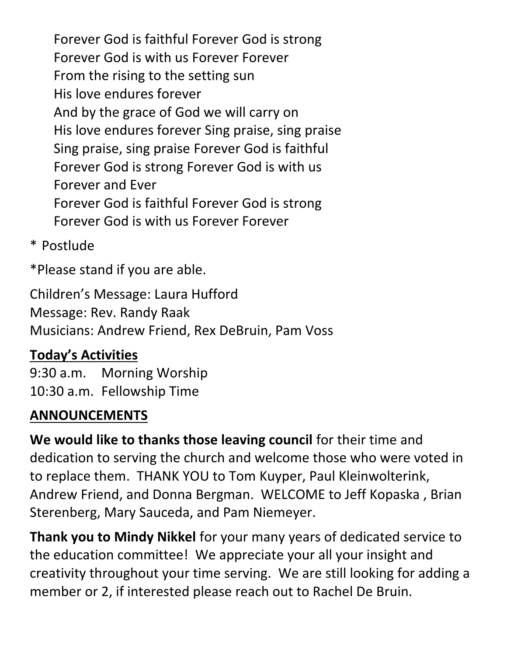Forever God is faithful Forever God is strong Forever God is with us Forever Forever From the rising to the setting sun His love endures forever And by the grace of God we will carry on His love endures forever Sing praise, sing praise Sing praise, sing praise Forever God is faithful Forever God is strong Forever God is with us Forever and Ever Forever God is faithful Forever God is strong Forever God is with us Forever Forever

\* Postlude

\*Please stand if you are able.

Children's Message: Laura Hufford Message: Rev. Randy Raak Musicians: Andrew Friend, Rex DeBruin, Pam Voss

### **Today's Activities**

9:30 a.m. Morning Worship 10:30 a.m. Fellowship Time

### **ANNOUNCEMENTS**

**We would like to thanks those leaving council** for their time and dedication to serving the church and welcome those who were voted in to replace them. THANK YOU to Tom Kuyper, Paul Kleinwolterink, Andrew Friend, and Donna Bergman. WELCOME to Jeff Kopaska , Brian Sterenberg, Mary Sauceda, and Pam Niemeyer.

**Thank you to Mindy Nikkel** for your many years of dedicated service to the education committee! We appreciate your all your insight and creativity throughout your time serving. We are still looking for adding a member or 2, if interested please reach out to Rachel De Bruin.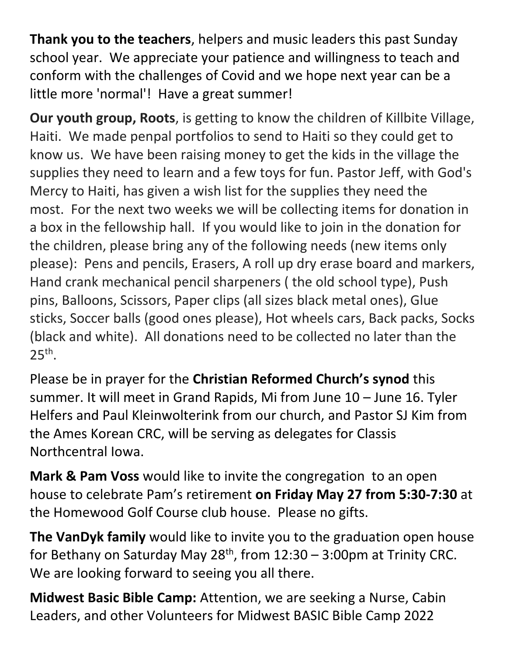**Thank you to the teachers**, helpers and music leaders this past Sunday school year. We appreciate your patience and willingness to teach and conform with the challenges of Covid and we hope next year can be a little more 'normal'! Have a great summer!

**Our youth group, Roots**, is getting to know the children of Killbite Village, Haiti. We made penpal portfolios to send to Haiti so they could get to know us. We have been raising money to get the kids in the village the supplies they need to learn and a few toys for fun. Pastor Jeff, with God's Mercy to Haiti, has given a wish list for the supplies they need the most. For the next two weeks we will be collecting items for donation in a box in the fellowship hall. If you would like to join in the donation for the children, please bring any of the following needs (new items only please): Pens and pencils, Erasers, A roll up dry erase board and markers, Hand crank mechanical pencil sharpeners ( the old school type), Push pins, Balloons, Scissors, Paper clips (all sizes black metal ones), Glue sticks, Soccer balls (good ones please), Hot wheels cars, Back packs, Socks (black and white). All donations need to be collected no later than the  $25<sup>th</sup>$ .

Please be in prayer for the **Christian Reformed Church's synod** this summer. It will meet in Grand Rapids, Mi from June 10 – June 16. Tyler Helfers and Paul Kleinwolterink from our church, and Pastor SJ Kim from the Ames Korean CRC, will be serving as delegates for Classis Northcentral Iowa.

**Mark & Pam Voss** would like to invite the congregation to an open house to celebrate Pam's retirement **on Friday May 27 from 5:30-7:30** at the Homewood Golf Course club house. Please no gifts.

**The VanDyk family** would like to invite you to the graduation open house for Bethany on Saturday May  $28<sup>th</sup>$ , from  $12:30 - 3:00$ pm at Trinity CRC. We are looking forward to seeing you all there.

**Midwest Basic Bible Camp:** Attention, we are seeking a Nurse, Cabin Leaders, and other Volunteers for Midwest BASIC Bible Camp 2022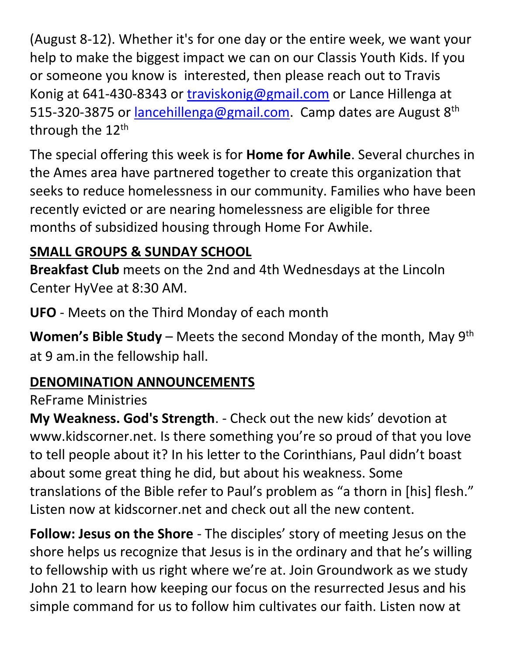(August 8-12). Whether it's for one day or the entire week, we want your help to make the biggest impact we can on our Classis Youth Kids. If you or someone you know is interested, then please reach out to Travis Konig at 641-430-8343 or [traviskonig@gmail.com](mailto:traviskonig@gmail.com) or Lance Hillenga at 515-320-3875 or [lancehillenga@gmail.com.](mailto:lancehillenga@gmail.com) Camp dates are August 8<sup>th</sup> through the 12<sup>th</sup>

The special offering this week is for **Home for Awhile**. Several churches in the Ames area have partnered together to create this organization that seeks to reduce homelessness in our community. Families who have been recently evicted or are nearing homelessness are eligible for three months of subsidized housing through Home For Awhile.

## **SMALL GROUPS & SUNDAY SCHOOL**

**Breakfast Club** meets on the 2nd and 4th Wednesdays at the Lincoln Center HyVee at 8:30 AM.

**UFO** - Meets on the Third Monday of each month

**Women's Bible Study** – Meets the second Monday of the month, May 9th at 9 am.in the fellowship hall.

## **DENOMINATION ANNOUNCEMENTS**

### ReFrame Ministries

**My Weakness. God's Strength**. - Check out the new kids' devotion at www.kidscorner.net. Is there something you're so proud of that you love to tell people about it? In his letter to the Corinthians, Paul didn't boast about some great thing he did, but about his weakness. Some translations of the Bible refer to Paul's problem as "a thorn in [his] flesh." Listen now at kidscorner.net and check out all the new content.

**Follow: Jesus on the Shore** - The disciples' story of meeting Jesus on the shore helps us recognize that Jesus is in the ordinary and that he's willing to fellowship with us right where we're at. Join Groundwork as we study John 21 to learn how keeping our focus on the resurrected Jesus and his simple command for us to follow him cultivates our faith. Listen now at